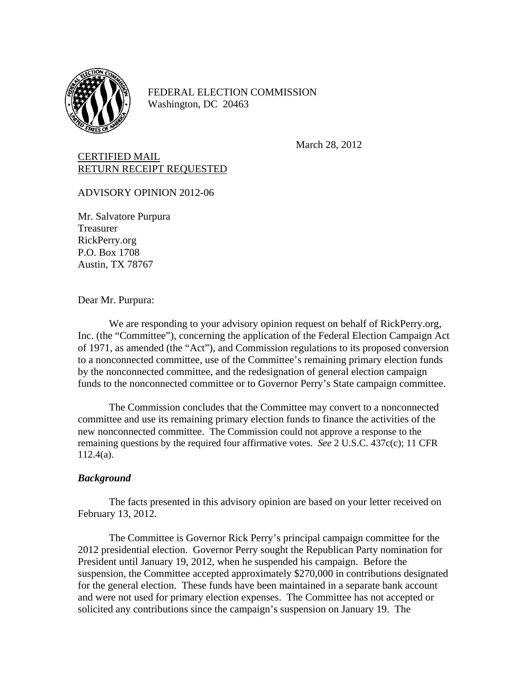

FEDERAL ELECTION COMMISSION Washington, DC 20463

March 28, 2012

## CERTIFIED MAIL RETURN RECEIPT REQUESTED

ADVISORY OPINION 2012-06

Mr. Salvatore Purpura Treasurer RickPerry.org P.O. Box 1708 Austin, TX 78767

Dear Mr. Purpura:

 We are responding to your advisory opinion request on behalf of RickPerry.org, Inc. (the "Committee"), concerning the application of the Federal Election Campaign Act of 1971, as amended (the "Act"), and Commission regulations to its proposed conversion to a nonconnected committee, use of the Committee's remaining primary election funds by the nonconnected committee, and the redesignation of general election campaign funds to the nonconnected committee or to Governor Perry's State campaign committee.

The Commission concludes that the Committee may convert to a nonconnected committee and use its remaining primary election funds to finance the activities of the new nonconnected committee. The Commission could not approve a response to the remaining questions by the required four affirmative votes. *See* 2 U.S.C. 437c(c); 11 CFR 112.4(a).

## *Background*

 The facts presented in this advisory opinion are based on your letter received on February 13, 2012.

 The Committee is Governor Rick Perry's principal campaign committee for the 2012 presidential election. Governor Perry sought the Republican Party nomination for President until January 19, 2012, when he suspended his campaign. Before the suspension, the Committee accepted approximately \$270,000 in contributions designated for the general election. These funds have been maintained in a separate bank account and were not used for primary election expenses. The Committee has not accepted or solicited any contributions since the campaign's suspension on January 19. The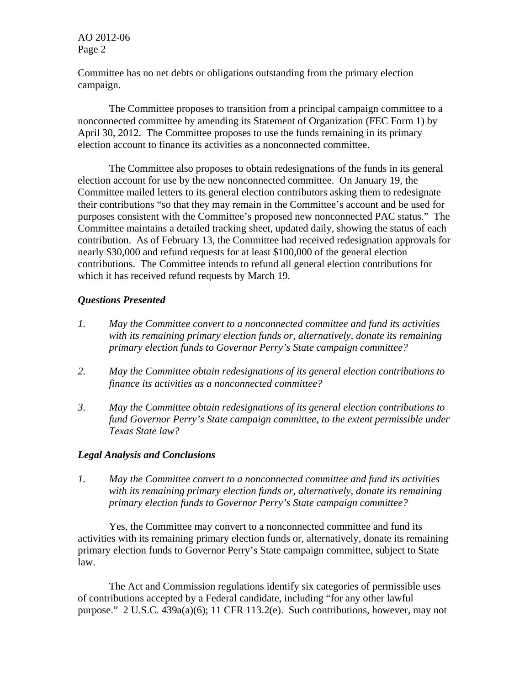AO 2012-06 Page 2

Committee has no net debts or obligations outstanding from the primary election campaign.

 The Committee proposes to transition from a principal campaign committee to a nonconnected committee by amending its Statement of Organization (FEC Form 1) by April 30, 2012. The Committee proposes to use the funds remaining in its primary election account to finance its activities as a nonconnected committee.

The Committee also proposes to obtain redesignations of the funds in its general election account for use by the new nonconnected committee. On January 19, the Committee mailed letters to its general election contributors asking them to redesignate their contributions "so that they may remain in the Committee's account and be used for purposes consistent with the Committee's proposed new nonconnected PAC status." The Committee maintains a detailed tracking sheet, updated daily, showing the status of each contribution. As of February 13, the Committee had received redesignation approvals for nearly \$30,000 and refund requests for at least \$100,000 of the general election contributions. The Committee intends to refund all general election contributions for which it has received refund requests by March 19.

## *Questions Presented*

- *1. May the Committee convert to a nonconnected committee and fund its activities with its remaining primary election funds or, alternatively, donate its remaining primary election funds to Governor Perry's State campaign committee?*
- *2. May the Committee obtain redesignations of its general election contributions to finance its activities as a nonconnected committee?*
- *3. May the Committee obtain redesignations of its general election contributions to fund Governor Perry's State campaign committee, to the extent permissible under Texas State law?*

## *Legal Analysis and Conclusions*

*1. May the Committee convert to a nonconnected committee and fund its activities with its remaining primary election funds or, alternatively, donate its remaining primary election funds to Governor Perry's State campaign committee?* 

Yes, the Committee may convert to a nonconnected committee and fund its activities with its remaining primary election funds or, alternatively, donate its remaining primary election funds to Governor Perry's State campaign committee, subject to State law.

The Act and Commission regulations identify six categories of permissible uses of contributions accepted by a Federal candidate, including "for any other lawful purpose." 2 U.S.C. 439a(a)(6); 11 CFR 113.2(e). Such contributions, however, may not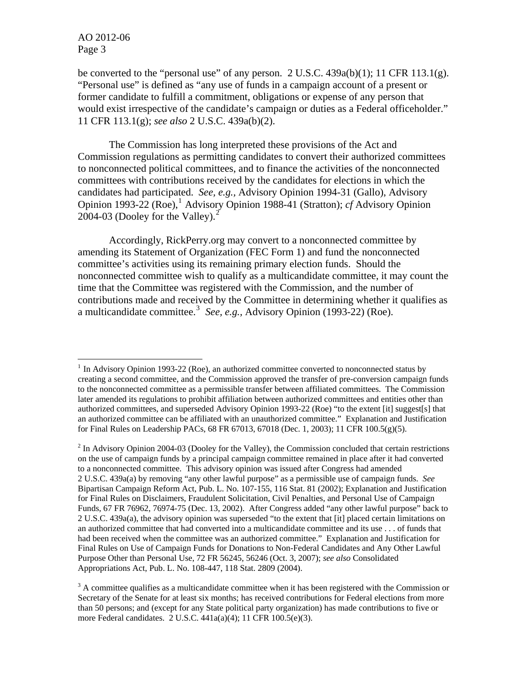$\overline{a}$ 

be converted to the "personal use" of any person.  $2 \text{ U.S.C. } 439a(b)(1)$ ; 11 CFR 113.1(g). "Personal use" is defined as "any use of funds in a campaign account of a present or former candidate to fulfill a commitment, obligations or expense of any person that would exist irrespective of the candidate's campaign or duties as a Federal officeholder." 11 CFR 113.1(g); *see also* 2 U.S.C. 439a(b)(2).

The Commission has long interpreted these provisions of the Act and Commission regulations as permitting candidates to convert their authorized committees to nonconnected political committees, and to finance the activities of the nonconnected committees with contributions received by the candidates for elections in which the candidates had participated. *See, e.g.,* Advisory Opinion 1994-31 (Gallo), Advisory Opinion [1](#page-2-0)993-22 (Roe),<sup>1</sup> Advisory Opinion 1988-41 (Stratton); *cf* Advisory Opinion [2](#page-2-1)004-03 (Dooley for the Valley). $<sup>2</sup>$ </sup>

Accordingly, RickPerry.org may convert to a nonconnected committee by amending its Statement of Organization (FEC Form 1) and fund the nonconnected committee's activities using its remaining primary election funds. Should the nonconnected committee wish to qualify as a multicandidate committee, it may count the time that the Committee was registered with the Commission, and the number of contributions made and received by the Committee in determining whether it qualifies as a multicandidate committee.<sup>[3](#page-2-2)</sup> See, e.g., Advisory Opinion (1993-22) (Roe).

<span id="page-2-0"></span><sup>&</sup>lt;sup>1</sup> In Advisory Opinion 1993-22 (Roe), an authorized committee converted to nonconnected status by creating a second committee, and the Commission approved the transfer of pre-conversion campaign funds to the nonconnected committee as a permissible transfer between affiliated committees. The Commission later amended its regulations to prohibit affiliation between authorized committees and entities other than authorized committees, and superseded Advisory Opinion 1993-22 (Roe) "to the extent [it] suggest[s] that an authorized committee can be affiliated with an unauthorized committee." Explanation and Justification for Final Rules on Leadership PACs, 68 FR 67013, 67018 (Dec. 1, 2003); 11 CFR 100.5(g)(5).

<span id="page-2-1"></span> $2$  In Advisory Opinion 2004-03 (Dooley for the Valley), the Commission concluded that certain restrictions on the use of campaign funds by a principal campaign committee remained in place after it had converted to a nonconnected committee. This advisory opinion was issued after Congress had amended 2 U.S.C. 439a(a) by removing "any other lawful purpose" as a permissible use of campaign funds. *See*  Bipartisan Campaign Reform Act, Pub. L. No. 107-155, 116 Stat. 81 (2002); Explanation and Justification for Final Rules on Disclaimers, Fraudulent Solicitation, Civil Penalties, and Personal Use of Campaign Funds, 67 FR 76962, 76974-75 (Dec. 13, 2002). After Congress added "any other lawful purpose" back to 2 U.S.C. 439a(a), the advisory opinion was superseded "to the extent that [it] placed certain limitations on an authorized committee that had converted into a multicandidate committee and its use . . . of funds that had been received when the committee was an authorized committee." Explanation and Justification for Final Rules on Use of Campaign Funds for Donations to Non-Federal Candidates and Any Other Lawful Purpose Other than Personal Use, 72 FR 56245, 56246 (Oct. 3, 2007); *see also* Consolidated Appropriations Act, Pub. L. No. 108-447, 118 Stat. 2809 (2004).

<span id="page-2-2"></span> $3$  A committee qualifies as a multicandidate committee when it has been registered with the Commission or Secretary of the Senate for at least six months; has received contributions for Federal elections from more than 50 persons; and (except for any State political party organization) has made contributions to five or more Federal candidates. 2 U.S.C. 441a(a)(4); 11 CFR 100.5(e)(3).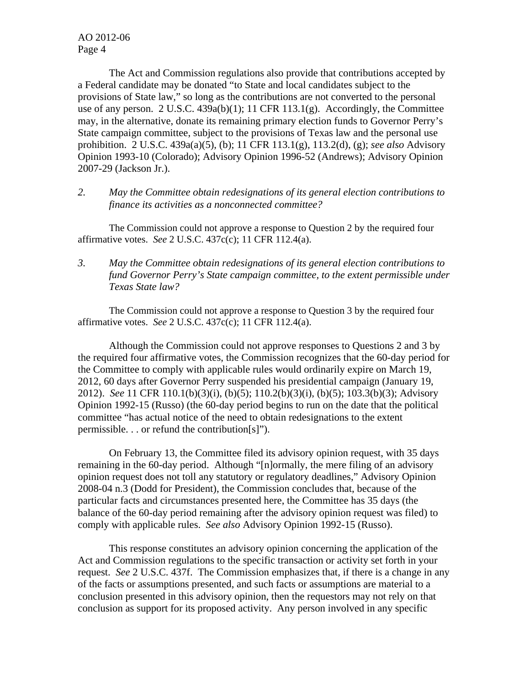The Act and Commission regulations also provide that contributions accepted by a Federal candidate may be donated "to State and local candidates subject to the provisions of State law," so long as the contributions are not converted to the personal use of any person. 2 U.S.C. 439a(b)(1); 11 CFR 113.1(g). Accordingly, the Committee may, in the alternative, donate its remaining primary election funds to Governor Perry's State campaign committee, subject to the provisions of Texas law and the personal use prohibition. 2 U.S.C. 439a(a)(5), (b); 11 CFR 113.1(g), 113.2(d), (g); *see also* Advisory Opinion 1993-10 (Colorado); Advisory Opinion 1996-52 (Andrews); Advisory Opinion 2007-29 (Jackson Jr.).

*2. May the Committee obtain redesignations of its general election contributions to finance its activities as a nonconnected committee?* 

The Commission could not approve a response to Question 2 by the required four affirmative votes. *See* 2 U.S.C. 437c(c); 11 CFR 112.4(a).

*3. May the Committee obtain redesignations of its general election contributions to fund Governor Perry's State campaign committee, to the extent permissible under Texas State law?* 

The Commission could not approve a response to Question 3 by the required four affirmative votes. *See* 2 U.S.C. 437c(c); 11 CFR 112.4(a).

Although the Commission could not approve responses to Questions 2 and 3 by the required four affirmative votes, the Commission recognizes that the 60-day period for the Committee to comply with applicable rules would ordinarily expire on March 19, 2012, 60 days after Governor Perry suspended his presidential campaign (January 19, 2012). *See* 11 CFR 110.1(b)(3)(i), (b)(5); 110.2(b)(3)(i), (b)(5); 103.3(b)(3); Advisory Opinion 1992-15 (Russo) (the 60-day period begins to run on the date that the political committee "has actual notice of the need to obtain redesignations to the extent permissible. . . or refund the contribution[s]").

On February 13, the Committee filed its advisory opinion request, with 35 days remaining in the 60-day period. Although "[n]ormally, the mere filing of an advisory opinion request does not toll any statutory or regulatory deadlines," Advisory Opinion 2008-04 n.3 (Dodd for President), the Commission concludes that, because of the particular facts and circumstances presented here, the Committee has 35 days (the balance of the 60-day period remaining after the advisory opinion request was filed) to comply with applicable rules. *See also* Advisory Opinion 1992-15 (Russo).

This response constitutes an advisory opinion concerning the application of the Act and Commission regulations to the specific transaction or activity set forth in your request. *See* 2 U.S.C. 437f. The Commission emphasizes that, if there is a change in any of the facts or assumptions presented, and such facts or assumptions are material to a conclusion presented in this advisory opinion, then the requestors may not rely on that conclusion as support for its proposed activity. Any person involved in any specific